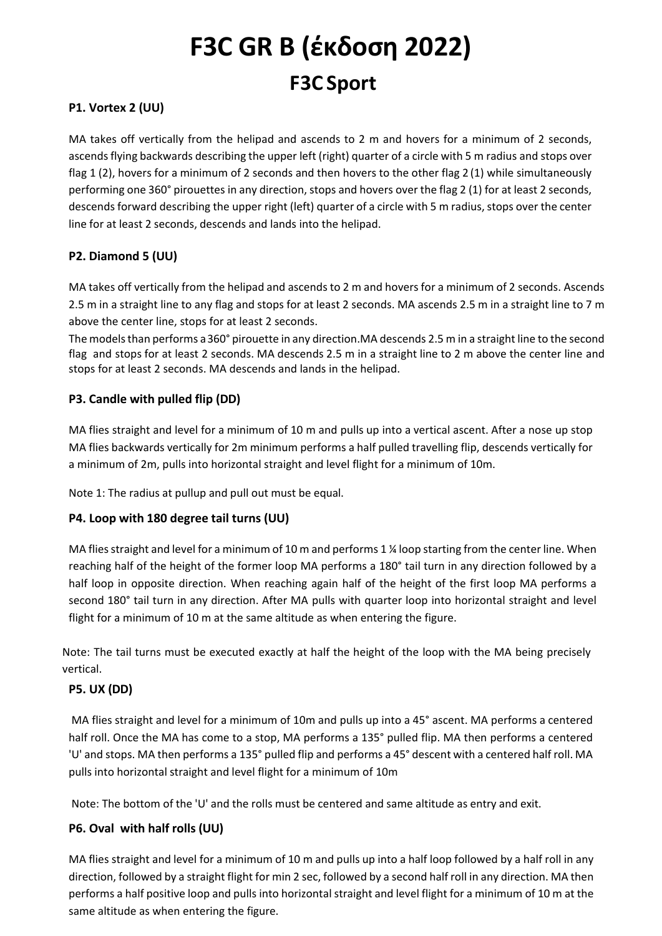# **F3C GR B (έκδοση 2022) F3C Sport**

#### **P1. Vortex 2 (UU)**

MA takes off vertically from the helipad and ascends to 2 m and hovers for a minimum of 2 seconds, ascends flying backwards describing the upper left (right) quarter of a circle with 5 m radius and stops over flag 1 (2), hovers for a minimum of 2 seconds and then hovers to the other flag 2 (1) while simultaneously performing one 360° pirouettes in any direction, stops and hovers over the flag 2 (1) for at least 2 seconds, descends forward describing the upper right (left) quarter of a circle with 5 m radius, stops over the center line for at least 2 seconds, descends and lands into the helipad.

#### **P2. Diamond 5 (UU)**

MA takes off vertically from the helipad and ascends to 2 m and hovers for a minimum of 2 seconds. Ascends 2.5 m in a straight line to any flag and stops for at least 2 seconds. MA ascends 2.5 m in a straight line to 7 m above the center line, stops for at least 2 seconds.

The models than performs a 360° pirouette in any direction.MA descends 2.5 m in a straight line to the second flag and stops for at least 2 seconds. MA descends 2.5 m in a straight line to 2 m above the center line and stops for at least 2 seconds. MA descends and lands in the helipad.

#### **P3. Candle with pulled flip (DD)**

MA flies straight and level for a minimum of 10 m and pulls up into a vertical ascent. After a nose up stop MA flies backwards vertically for 2m minimum performs a half pulled travelling flip, descends vertically for a minimum of 2m, pulls into horizontal straight and level flight for a minimum of 10m.

Note 1: The radius at pullup and pull out must be equal.

#### **P4. Loop with 180 degree tail turns (UU)**

MA flies straight and level for a minimum of 10 m and performs 1 % loop starting from the center line. When reaching half of the height of the former loop MA performs a 180° tail turn in any direction followed by a half loop in opposite direction. When reaching again half of the height of the first loop MA performs a second 180° tail turn in any direction. After MA pulls with quarter loop into horizontal straight and level flight for a minimum of 10 m at the same altitude as when entering the figure.

Note: The tail turns must be executed exactly at half the height of the loop with the MA being precisely vertical.

#### **P5. UX (DD)**

MA flies straight and level for a minimum of 10m and pulls up into a 45° ascent. MA performs a centered half roll. Once the MA has come to a stop, MA performs a 135° pulled flip. MA then performs a centered 'U' and stops. MA then performs a 135° pulled flip and performs a 45° descent with a centered half roll. MA pulls into horizontal straight and level flight for a minimum of 10m

Note: The bottom of the 'U' and the rolls must be centered and same altitude as entry and exit.

#### **P6. Oval with half rolls (UU)**

MA flies straight and level for a minimum of 10 m and pulls up into a half loop followed by a half roll in any direction, followed by a straight flight for min 2 sec, followed by a second half roll in any direction. MA then performs a half positive loop and pulls into horizontal straight and level flight for a minimum of 10 m at the same altitude as when entering the figure.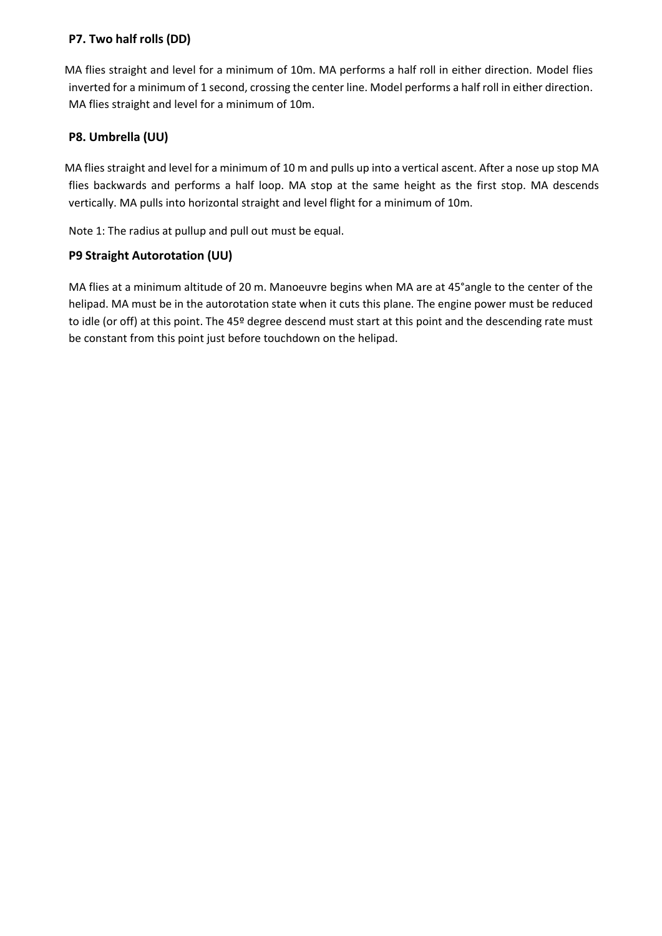#### **P7. Two half rolls (DD)**

MA flies straight and level for a minimum of 10m. MA performs a half roll in either direction. Model flies inverted for a minimum of 1 second, crossing the center line. Model performs a half roll in either direction. MA flies straight and level for a minimum of 10m.

### **P8. Umbrella (UU)**

MA flies straight and level for a minimum of 10 m and pulls up into a vertical ascent. After a nose up stop MA flies backwards and performs a half loop. MA stop at the same height as the first stop. MA descends vertically. MA pulls into horizontal straight and level flight for a minimum of 10m.

Note 1: The radius at pullup and pull out must be equal.

#### **P9 Straight Autorotation (UU)**

MA flies at a minimum altitude of 20 m. Manoeuvre begins when MA are at 45°angle to the center of the helipad. MA must be in the autorotation state when it cuts this plane. The engine power must be reduced to idle (or off) at this point. The 45º degree descend must start at this point and the descending rate must be constant from this point just before touchdown on the helipad.